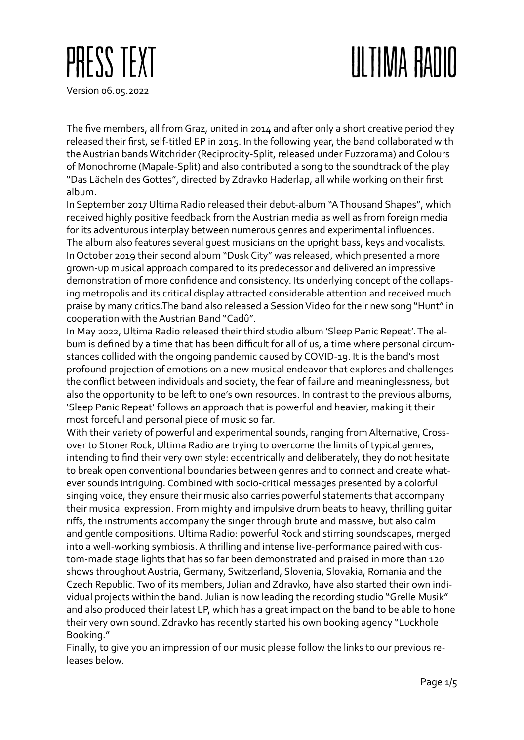## ULTIMA RADIO



The five members, all from Graz, united in 2014 and after only a short creative period they released their first, self-titled EP in 2015. In the following year, the band collaborated with the Austrian bands Witchrider (Reciprocity-Split, released under Fuzzorama) and Colours of Monochrome (Mapale-Split) and also contributed a song to the soundtrack of the play "Das Lächeln des Gottes", directed by Zdravko Haderlap, all while working on their first album.

In September 2017 Ultima Radio released their debut-album "A Thousand Shapes", which received highly positive feedback from the Austrian media as well as from foreign media for its adventurous interplay between numerous genres and experimental influences. The album also features several guest musicians on the upright bass, keys and vocalists. In October 2019 their second album "Dusk City" was released, which presented a more grown-up musical approach compared to its predecessor and delivered an impressive demonstration of more confidence and consistency. Its underlying concept of the collapsing metropolis and its critical display attracted considerable attention and received much praise by many critics.The band also released a Session Video for their new song "Hunt" in cooperation with the Austrian Band "Cadû".

In May 2022, Ultima Radio released their third studio album 'Sleep Panic Repeat'. The album is defined by a time that has been difficult for all of us, a time where personal circumstances collided with the ongoing pandemic caused by COVID-19. It is the band's most profound projection of emotions on a new musical endeavor that explores and challenges the conflict between individuals and society, the fear of failure and meaninglessness, but also the opportunity to be left to one's own resources. In contrast to the previous albums, 'Sleep Panic Repeat' follows an approach that is powerful and heavier, making it their most forceful and personal piece of music so far.

With their variety of powerful and experimental sounds, ranging from Alternative, Crossover to Stoner Rock, Ultima Radio are trying to overcome the limits of typical genres, intending to find their very own style: eccentrically and deliberately, they do not hesitate to break open conventional boundaries between genres and to connect and create whatever sounds intriguing. Combined with socio-critical messages presented by a colorful singing voice, they ensure their music also carries powerful statements that accompany their musical expression. From mighty and impulsive drum beats to heavy, thrilling guitar riffs, the instruments accompany the singer through brute and massive, but also calm and gentle compositions. Ultima Radio: powerful Rock and stirring soundscapes, merged into a well-working symbiosis. A thrilling and intense live-performance paired with custom-made stage lights that has so far been demonstrated and praised in more than 120 shows throughout Austria, Germany, Switzerland, Slovenia, Slovakia, Romania and the Czech Republic. Two of its members, Julian and Zdravko, have also started their own individual projects within the band. Julian is now leading the recording studio "Grelle Musik" and also produced their latest LP, which has a great impact on the band to be able to hone their very own sound. Zdravko has recently started his own booking agency "Luckhole Booking."

Finally, to give you an impression of our music please follow the links to our previous releases below.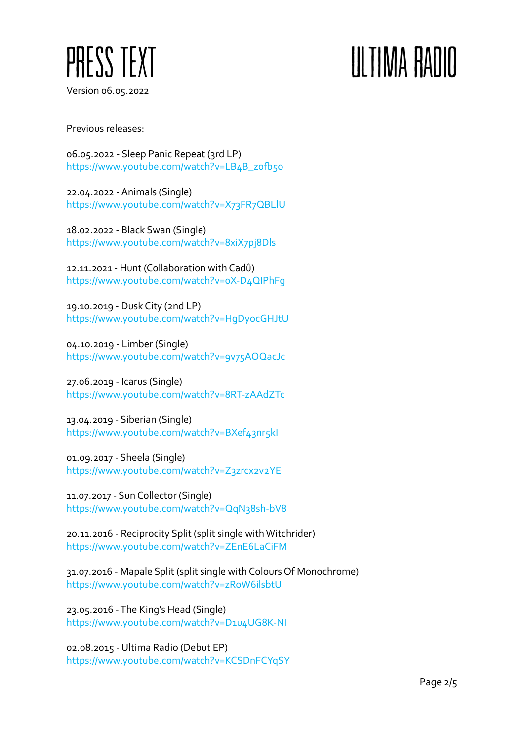

## III TIMA RADIO

Previous releases:

06.05.2022 - Sleep Panic Repeat (3rd LP) https://www.youtube.com/watch?v=LB4B\_z0fb5o

22.04.2022 - Animals (Single) https://www.youtube.com/watch?v=X73FR7QBLlU

18.02.2022 - Black Swan (Single) https://www.youtube.com/watch?v=8xiX7pj8Dls

12.11.2021 - Hunt (Collaboration with Cadû) https://www.youtube.com/watch?v=0X-D4QIPhFg

19.10.2019 - Dusk City (2nd LP) https://www.youtube.com/watch?v=HgDyocGHJtU

04.10.2019 - Limber (Single) https://www.youtube.com/watch?v=9v75AOQacJc

27.06.2019 - Icarus (Single) https://www.youtube.com/watch?v=8RT-zAAdZTc

13.04.2019 - Siberian (Single) https://www.youtube.com/watch?v=BXef43nr5kI

01.09.2017 - Sheela (Single) https://www.youtube.com/watch?v=Z3zrcx2v2YE

11.07.2017 - Sun Collector (Single) https://www.youtube.com/watch?v=QqN38sh-bV8

20.11.2016 - Reciprocity Split (split single with Witchrider) https://www.youtube.com/watch?v=ZEnE6LaCiFM

31.07.2016 - Mapale Split (split single with Colours Of Monochrome) https://www.youtube.com/watch?v=zRoW6ilsbtU

23.05.2016 - The King's Head (Single) https://www.youtube.com/watch?v=D1u4UG8K-NI

02.08.2015 - Ultima Radio (Debut EP) https://www.youtube.com/watch?v=KCSDnFCYqSY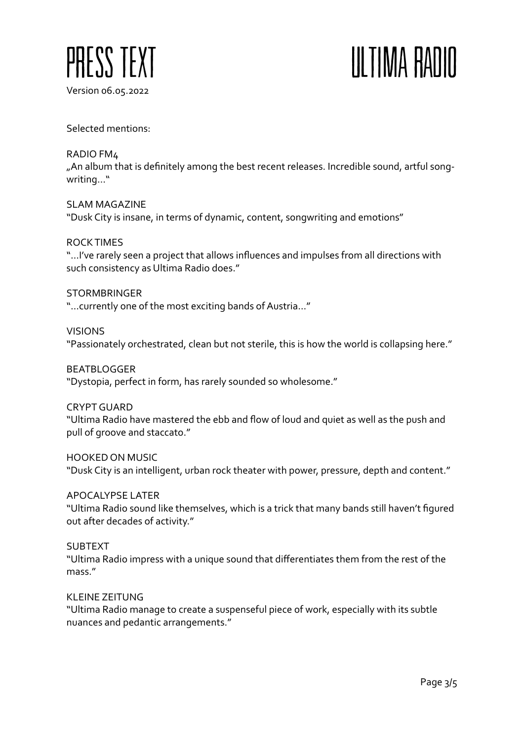

## ULTIMA RADIO

Selected mentions:

RADIO FM4 "An album that is definitely among the best recent releases. Incredible sound, artful songwriting…"

SLAM MAGAZINE "Dusk City is insane, in terms of dynamic, content, songwriting and emotions"

ROCK TIMES "…I've rarely seen a project that allows influences and impulses from all directions with such consistency as Ultima Radio does."

**STORMBRINGER** "…currently one of the most exciting bands of Austria…"

VISIONS "Passionately orchestrated, clean but not sterile, this is how the world is collapsing here."

BEATBLOGGER "Dystopia, perfect in form, has rarely sounded so wholesome."

CRYPT GUARD "Ultima Radio have mastered the ebb and flow of loud and quiet as well as the push and pull of groove and staccato."

HOOKED ON MUSIC "Dusk City is an intelligent, urban rock theater with power, pressure, depth and content."

APOCALYPSE LATER "Ultima Radio sound like themselves, which is a trick that many bands still haven't figured out after decades of activity."

SUBTEXT "Ultima Radio impress with a unique sound that differentiates them from the rest of the mass."

KLEINE ZEITUNG "Ultima Radio manage to create a suspenseful piece of work, especially with its subtle nuances and pedantic arrangements."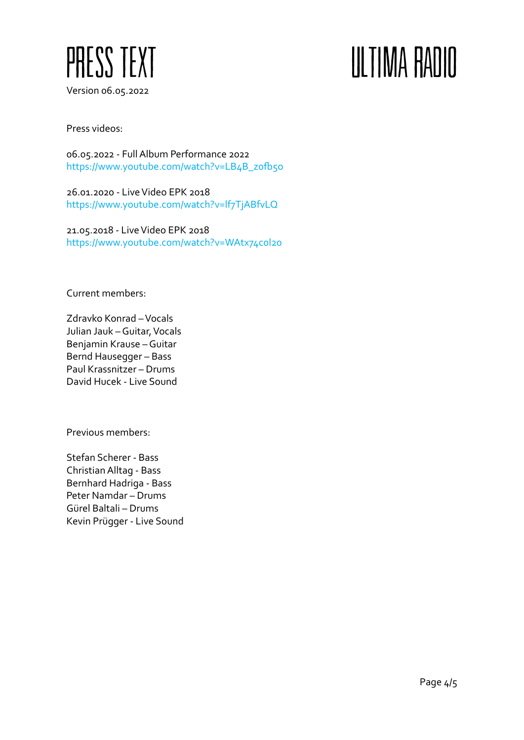

## ULTIMA RADIO

Press videos:

06.05.2022 - Full Album Performance 2022 https://www.youtube.com/watch?v=LB4B\_z0fb5o

26.01.2020 - Live Video EPK 2018 https://www.youtube.com/watch?v=lf7TjABfvLQ

21.05.2018 - Live Video EPK 2018 https://www.youtube.com/watch?v=WAtx74c0l20

Current members:

Zdravko Konrad – Vocals Julian Jauk – Guitar, Vocals Benjamin Krause – Guitar Bernd Hausegger – Bass Paul Krassnitzer – Drums David Hucek - Live Sound

Previous members:

Stefan Scherer - Bass Christian Alltag - Bass Bernhard Hadriga - Bass Peter Namdar – Drums Gürel Baltali – Drums Kevin Prügger - Live Sound